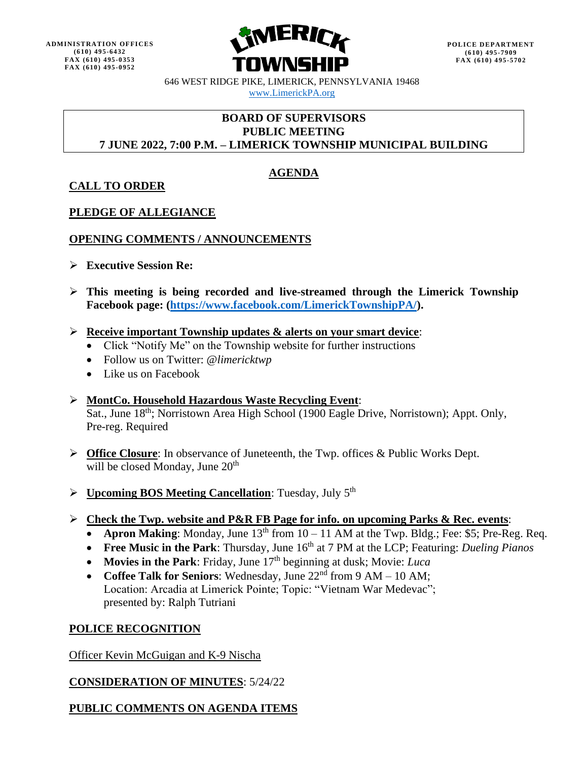

646 WEST RIDGE PIKE, LIMERICK, PENNSYLVANIA 19468 [www.LimerickPA.org](http://www.limerickpa.org/)

### **BOARD OF SUPERVISORS PUBLIC MEETING 7 JUNE 2022, 7:00 P.M. – LIMERICK TOWNSHIP MUNICIPAL BUILDING**

# **AGENDA**

## **CALL TO ORDER**

### **PLEDGE OF ALLEGIANCE**

### **OPENING COMMENTS / ANNOUNCEMENTS**

- ➢ **Executive Session Re:**
- ➢ **This meeting is being recorded and live-streamed through the Limerick Township Facebook page: [\(https://www.facebook.com/LimerickTownshipPA/\)](https://www.facebook.com/LimerickTownshipPA/).**
- ➢ **Receive important Township updates & alerts on your smart device**:
	- Click "Notify Me" on the Township website for further instructions
	- Follow us on Twitter: @*limericktwp*
	- Like us on Facebook

#### ➢ **MontCo. Household Hazardous Waste Recycling Event**: Sat., June 18<sup>th</sup>; Norristown Area High School (1900 Eagle Drive, Norristown); Appt. Only, Pre-reg. Required

- ➢ **Office Closure**: In observance of Juneteenth, the Twp. offices & Public Works Dept. will be closed Monday, June  $20<sup>th</sup>$
- ➢ **Upcoming BOS Meeting Cancellation**: Tuesday, July 5 th
- ➢ **Check the Twp. website and P&R FB Page for info. on upcoming Parks & Rec. events**:
	- **Apron Making**: Monday, June  $13<sup>th</sup>$  from  $10 11$  AM at the Twp. Bldg.; Fee: \$5; Pre-Reg. Req.
	- Free Music in the Park: Thursday, June 16<sup>th</sup> at 7 PM at the LCP; Featuring: *Dueling Pianos*
	- **Movies in the Park**: Friday, June 17<sup>th</sup> beginning at dusk; Movie: *Luca*
	- **Coffee Talk for Seniors**: Wednesday, June 22<sup>nd</sup> from 9 AM 10 AM; Location: Arcadia at Limerick Pointe; Topic: "Vietnam War Medevac"; presented by: Ralph Tutriani

### **POLICE RECOGNITION**

Officer Kevin McGuigan and K-9 Nischa

### **CONSIDERATION OF MINUTES**: 5/24/22

## **PUBLIC COMMENTS ON AGENDA ITEMS**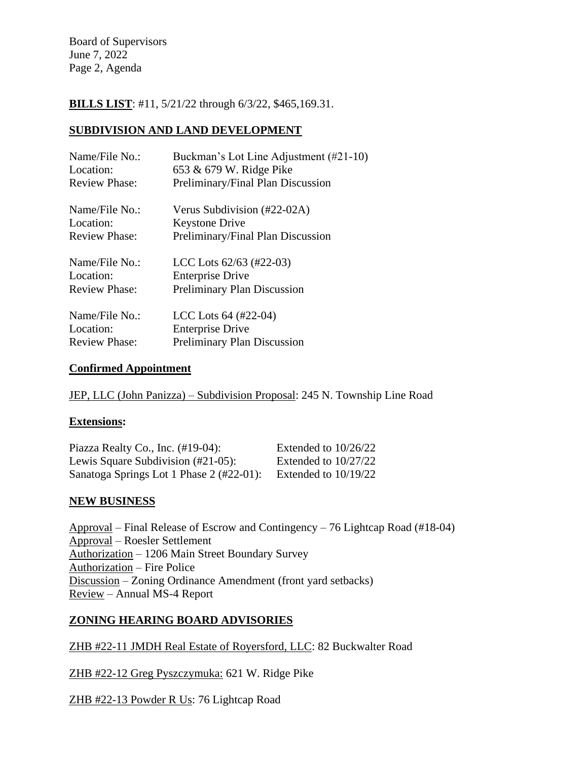Board of Supervisors June 7, 2022 Page 2, Agenda

**BILLS LIST**: #11, 5/21/22 through 6/3/22, \$465,169.31.

#### **SUBDIVISION AND LAND DEVELOPMENT**

| Name/File No.:       | Buckman's Lot Line Adjustment (#21-10) |
|----------------------|----------------------------------------|
| Location:            | 653 & 679 W. Ridge Pike                |
| <b>Review Phase:</b> | Preliminary/Final Plan Discussion      |
| Name/File No.:       | Verus Subdivision (#22-02A)            |
| Location:            | <b>Keystone Drive</b>                  |
| <b>Review Phase:</b> | Preliminary/Final Plan Discussion      |
| Name/File No.:       | LCC Lots $62/63$ (#22-03)              |
| Location:            | <b>Enterprise Drive</b>                |
| <b>Review Phase:</b> | <b>Preliminary Plan Discussion</b>     |
| Name/File No.:       | LCC Lots $64$ (#22-04)                 |
| Location:            | <b>Enterprise Drive</b>                |
| <b>Review Phase:</b> | <b>Preliminary Plan Discussion</b>     |

#### **Confirmed Appointment**

JEP, LLC (John Panizza) – Subdivision Proposal: 245 N. Township Line Road

#### **Extensions:**

| Piazza Realty Co., Inc. $(\text{\#19-04})$ :         | Extended to $10/26/22$ |
|------------------------------------------------------|------------------------|
| Lewis Square Subdivision $(\text{\#}21\text{-}05)$ : | Extended to $10/27/22$ |
| Sanatoga Springs Lot 1 Phase 2 (#22-01):             | Extended to $10/19/22$ |

#### **NEW BUSINESS**

Approval – Final Release of Escrow and Contingency – 76 Lightcap Road (#18-04) Approval – Roesler Settlement Authorization – 1206 Main Street Boundary Survey Authorization – Fire Police Discussion – Zoning Ordinance Amendment (front yard setbacks) Review – Annual MS-4 Report

### **ZONING HEARING BOARD ADVISORIES**

ZHB #22-11 JMDH Real Estate of Royersford, LLC: 82 Buckwalter Road

ZHB #22-12 Greg Pyszczymuka: 621 W. Ridge Pike

ZHB #22-13 Powder R Us: 76 Lightcap Road